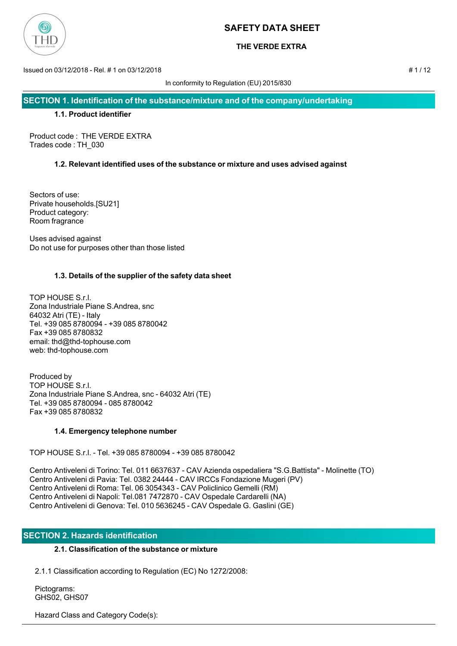

## **THE VERDE EXTRA**

Issued on 03/12/2018 - Rel. # 1 on 03/12/2018 # 1 / 12

In conformity to Regulation (EU) 2015/830

**SECTION 1. Identification of the substance/mixture and of the company/undertaking**

## **1.1. Product identifier**

Product code : THE VERDE EXTRA Trades code : TH\_030

## **1.2. Relevant identified uses of the substance or mixture and uses advised against**

Sectors of use: Private households.[SU21] Product category: Room fragrance

Uses advised against Do not use for purposes other than those listed

## **1.3. Details of the supplier of the safety data sheet**

TOP HOUSE S.r.l. Zona Industriale Piane S.Andrea, snc 64032 Atri (TE) - Italy Tel. +39 085 8780094 - +39 085 8780042 Fax +39 085 8780832 email: thd@thd-tophouse.com web: thd-tophouse.com

Produced by TOP HOUSE S.r.l. Zona Industriale Piane S.Andrea, snc - 64032 Atri (TE) Tel. +39 085 8780094 - 085 8780042 Fax +39 085 8780832

## **1.4. Emergency telephone number**

TOP HOUSE S.r.l. - Tel. +39 085 8780094 - +39 085 8780042

Centro Antiveleni di Torino: Tel. 011 6637637 - CAV Azienda ospedaliera "S.G.Battista" - Molinette (TO) Centro Antiveleni di Pavia: Tel. 0382 24444 - CAV IRCCs Fondazione Mugeri (PV) Centro Antiveleni di Roma: Tel. 06 3054343 - CAV Policlinico Gemelli (RM) Centro Antiveleni di Napoli: Tel.081 7472870 - CAV Ospedale Cardarelli (NA) Centro Antiveleni di Genova: Tel. 010 5636245 - CAV Ospedale G. Gaslini (GE)

## **SECTION 2. Hazards identification**

## **2.1. Classification of the substance or mixture**

2.1.1 Classification according to Regulation (EC) No 1272/2008:

 Pictograms: GHS02, GHS07

Hazard Class and Category Code(s):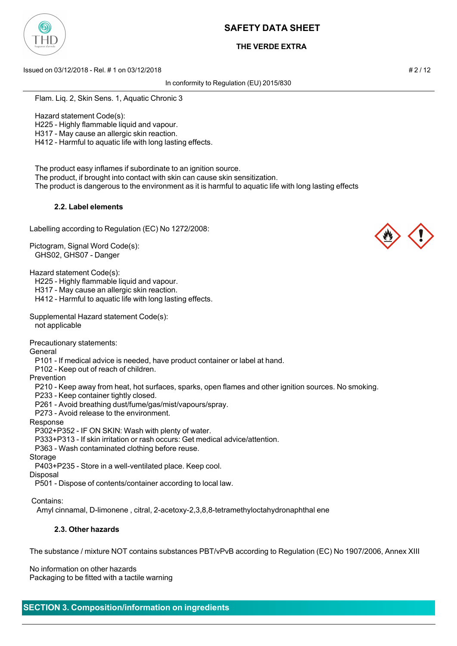

## **THE VERDE EXTRA**

Issued on 03/12/2018 - Rel. # 1 on 03/12/2018 # 2 / 12

In conformity to Regulation (EU) 2015/830

Flam. Liq. 2, Skin Sens. 1, Aquatic Chronic 3

Hazard statement Code(s):

H225 - Highly flammable liquid and vapour.

H317 - May cause an allergic skin reaction.

H412 - Harmful to aquatic life with long lasting effects.

The product easy inflames if subordinate to an ignition source.

The product, if brought into contact with skin can cause skin sensitization.

The product is dangerous to the environment as it is harmful to aquatic life with long lasting effects

### **2.2. Label elements**

Labelling according to Regulation (EC) No 1272/2008:

Pictogram, Signal Word Code(s): GHS02, GHS07 - Danger

Hazard statement Code(s):

H225 - Highly flammable liquid and vapour.

H317 - May cause an allergic skin reaction.

H412 - Harmful to aquatic life with long lasting effects.

Supplemental Hazard statement Code(s): not applicable

Precautionary statements:

General

P101 - If medical advice is needed, have product container or label at hand.

P102 - Keep out of reach of children.

Prevention

P210 - Keep away from heat, hot surfaces, sparks, open flames and other ignition sources. No smoking.

P233 - Keep container tightly closed.

P261 - Avoid breathing dust/fume/gas/mist/vapours/spray.

P273 - Avoid release to the environment.

Response

P302+P352 - IF ON SKIN: Wash with plenty of water.

P333+P313 - If skin irritation or rash occurs: Get medical advice/attention.

P363 - Wash contaminated clothing before reuse.

Storage

P403+P235 - Store in a well-ventilated place. Keep cool.

Disposal

P501 - Dispose of contents/container according to local law.

Contains:

Amyl cinnamal, D-limonene , citral, 2-acetoxy-2,3,8,8-tetramethyloctahydronaphthal ene

### **2.3. Other hazards**

The substance / mixture NOT contains substances PBT/vPvB according to Regulation (EC) No 1907/2006, Annex XIII

No information on other hazards Packaging to be fitted with a tactile warning





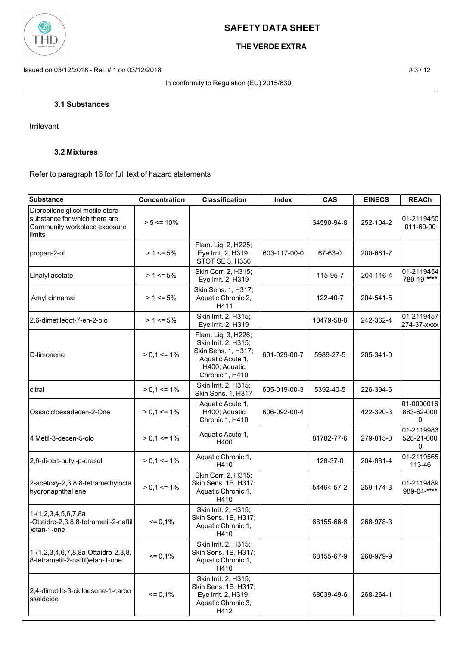

# **THE VERDE EXTRA**

Issued on 03/12/2018 - Rel. # 1 on 03/12/2018 **# 3** / 12

In conformity to Regulation (EU) 2015/830

### **3.1 Substances**

Irrilevant

## **3.2 Mixtures**

Refer to paragraph 16 for full text of hazard statements

| <b>Substance</b>                                                                                           | <b>Concentration</b> | <b>Classification</b>                                                                                                      | Index        | <b>CAS</b> | <b>EINECS</b> | <b>REACh</b>                  |
|------------------------------------------------------------------------------------------------------------|----------------------|----------------------------------------------------------------------------------------------------------------------------|--------------|------------|---------------|-------------------------------|
| Dipropilene glicol metile etere<br>substance for which there are<br>Community workplace exposure<br>limits | $> 5 \le 10\%$       |                                                                                                                            |              | 34590-94-8 | 252-104-2     | 01-2119450<br>011-60-00       |
| propan-2-ol                                                                                                | $> 1 \le 5\%$        | Flam. Liq. 2, H225;<br>Eye Irrit. 2, H319;<br>STOT SE 3, H336                                                              | 603-117-00-0 | 67-63-0    | 200-661-7     |                               |
| Linalyl acetate                                                                                            | $> 1 \le 5\%$        | Skin Corr. 2, H315;<br>Eye Irrit. 2, H319                                                                                  |              | 115-95-7   | 204-116-4     | 01-2119454<br>789-19-****     |
| Amyl cinnamal                                                                                              | $> 1 \le 5\%$        | Skin Sens. 1, H317;<br>Aquatic Chronic 2,<br>H411                                                                          |              | 122-40-7   | 204-541-5     |                               |
| 2,6-dimetileoct-7-en-2-olo                                                                                 | $> 1 \le 5\%$        | Skin Irrit. 2, H315;<br>Eye Irrit. 2, H319                                                                                 |              | 18479-58-8 | 242-362-4     | 01-2119457<br>274-37-xxxx     |
| D-limonene                                                                                                 | $> 0,1 \le 1\%$      | Flam. Liq. 3, H226;<br>Skin Irrit. 2, H315;<br>Skin Sens. 1, H317;<br>Aquatic Acute 1,<br>H400; Aquatic<br>Chronic 1, H410 | 601-029-00-7 | 5989-27-5  | 205-341-0     |                               |
| citral                                                                                                     | $> 0.1 \le 1\%$      | Skin Irrit. 2, H315;<br>Skin Sens. 1, H317                                                                                 | 605-019-00-3 | 5392-40-5  | 226-394-6     |                               |
| Ossacicloesadecen-2-One                                                                                    | $> 0.1 \le 1\%$      | Aquatic Acute 1,<br>H400; Aquatic<br>Chronic 1, H410                                                                       | 606-092-00-4 |            | 422-320-3     | 01-0000016<br>883-62-000<br>0 |
| 4 Metil-3-decen-5-olo                                                                                      | $> 0.1 \le 1\%$      | Aquatic Acute 1,<br>H400                                                                                                   |              | 81782-77-6 | 279-815-0     | 01-2119983<br>528-21-000<br>0 |
| 2,6-di-tert-butyl-p-cresol                                                                                 | $> 0.1 \le 1\%$      | Aquatic Chronic 1,<br>H410                                                                                                 |              | 128-37-0   | 204-881-4     | 01-2119565<br>113-46          |
| 2-acetoxy-2,3,8,8-tetramethylocta<br>hydronaphthal ene                                                     | $> 0.1 \le 1\%$      | Skin Corr. 2, H315;<br>Skin Sens. 1B, H317;<br>Aquatic Chronic 1,<br>H410                                                  |              | 54464-57-2 | 259-174-3     | 01-2119489<br>989-04-****     |
| 1-(1,2,3,4,5,6,7,8a<br>-Ottaidro-2,3,8,8-tetrametil-2-naftil<br>)etan-1-one                                | $= 0,1%$             | Skin Irrit. 2, H315;<br>Skin Sens. 1B, H317;<br>Aquatic Chronic 1,<br>H410                                                 |              | 68155-66-8 | 268-978-3     |                               |
| 1-(1,2,3,4,6,7,8,8a-Ottaidro-2,3,8,<br>8-tetrametil-2-naftil) etan-1-one                                   | $= 0,1%$             | Skin Irrit. 2, H315;<br>Skin Sens. 1B, H317;<br>Aquatic Chronic 1,<br>H410                                                 |              | 68155-67-9 | 268-979-9     |                               |
| 2,4-dimetile-3-cicloesene-1-carbo<br>ssaldeide                                                             | $= 0,1%$             | Skin Irrit. 2, H315;<br>Skin Sens. 1B, H317;<br>Eye Irrit. 2, H319;<br>Aquatic Chronic 3,<br>H412                          |              | 68039-49-6 | 268-264-1     |                               |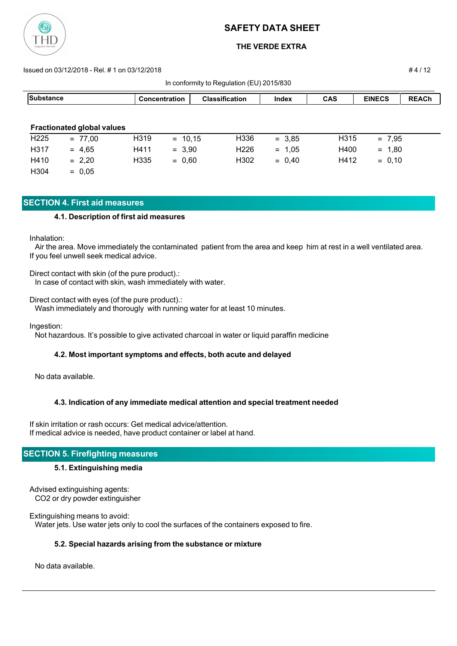

## **THE VERDE EXTRA**

#### Issued on 03/12/2018 - Rel. # 1 on 03/12/2018 # 4 / 12

| In conformity to Regulation (EU) 2015/830 |                                   |                   |                      |                       |          |            |               |              |
|-------------------------------------------|-----------------------------------|-------------------|----------------------|-----------------------|----------|------------|---------------|--------------|
| <b>Substance</b>                          |                                   |                   | <b>Concentration</b> | <b>Classification</b> | Index    | <b>CAS</b> | <b>EINECS</b> | <b>REACh</b> |
|                                           |                                   |                   |                      |                       |          |            |               |              |
|                                           | <b>Fractionated global values</b> |                   |                      |                       |          |            |               |              |
| H <sub>225</sub>                          | $= 77,00$                         | H <sub>3</sub> 19 | $= 10.15$            | H336                  | $= 3.85$ | H315       | $= 7,95$      |              |
| H317                                      | $= 4,65$                          | H411              | $= 3,90$             | H <sub>226</sub>      | $= 1,05$ | H400       | $= 1,80$      |              |
| H410                                      | $= 2,20$                          | H335              | $= 0,60$             | H302                  | $= 0.40$ | H412       | $= 0,10$      |              |
| H <sub>304</sub>                          | $= 0,05$                          |                   |                      |                       |          |            |               |              |

## **SECTION 4. First aid measures**

### **4.1. Description of first aid measures**

Inhalation:

 Air the area. Move immediately the contaminated patient from the area and keep him at rest in a well ventilated area. If you feel unwell seek medical advice.

Direct contact with skin (of the pure product).: In case of contact with skin, wash immediately with water.

Direct contact with eyes (of the pure product).:

Wash immediately and thorougly with running water for at least 10 minutes.

Ingestion:

Not hazardous. It's possible to give activated charcoal in water or liquid paraffin medicine

### **4.2. Most important symptoms and effects, both acute and delayed**

No data available.

### **4.3. Indication of any immediate medical attention and special treatment needed**

If skin irritation or rash occurs: Get medical advice/attention. If medical advice is needed, have product container or label at hand.

## **SECTION 5. Firefighting measures**

### **5.1. Extinguishing media**

Advised extinguishing agents: CO2 or dry powder extinguisher

Extinguishing means to avoid: Water jets. Use water jets only to cool the surfaces of the containers exposed to fire.

### **5.2. Special hazards arising from the substance or mixture**

No data available.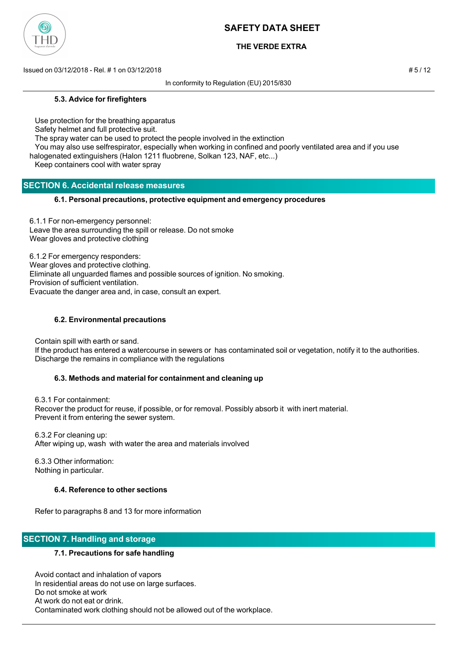

## **THE VERDE EXTRA**

Issued on 03/12/2018 - Rel. # 1 on 03/12/2018 # 5 / 12

In conformity to Regulation (EU) 2015/830

### **5.3. Advice for firefighters**

Use protection for the breathing apparatus

Safety helmet and full protective suit.

The spray water can be used to protect the people involved in the extinction

 You may also use selfrespirator, especially when working in confined and poorly ventilated area and if you use halogenated extinguishers (Halon 1211 fluobrene, Solkan 123, NAF, etc...)

Keep containers cool with water spray

## **SECTION 6. Accidental release measures**

### **6.1. Personal precautions, protective equipment and emergency procedures**

6.1.1 For non-emergency personnel: Leave the area surrounding the spill or release. Do not smoke Wear gloves and protective clothing

6.1.2 For emergency responders: Wear gloves and protective clothing. Eliminate all unguarded flames and possible sources of ignition. No smoking. Provision of sufficient ventilation. Evacuate the danger area and, in case, consult an expert.

### **6.2. Environmental precautions**

Contain spill with earth or sand.

 If the product has entered a watercourse in sewers or has contaminated soil or vegetation, notify it to the authorities. Discharge the remains in compliance with the regulations

### **6.3. Methods and material for containment and cleaning up**

 6.3.1 For containment: Recover the product for reuse, if possible, or for removal. Possibly absorb it with inert material. Prevent it from entering the sewer system.

 6.3.2 For cleaning up: After wiping up, wash with water the area and materials involved

 6.3.3 Other information: Nothing in particular.

### **6.4. Reference to other sections**

Refer to paragraphs 8 and 13 for more information

## **SECTION 7. Handling and storage**

### **7.1. Precautions for safe handling**

 Avoid contact and inhalation of vapors In residential areas do not use on large surfaces. Do not smoke at work At work do not eat or drink. Contaminated work clothing should not be allowed out of the workplace.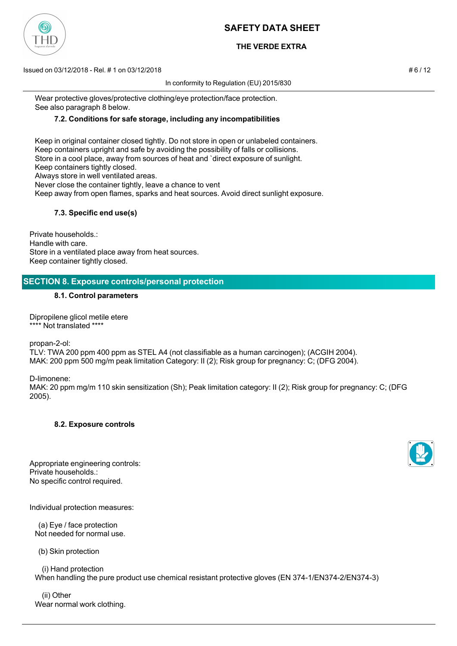# **THE VERDE EXTRA**

Issued on 03/12/2018 - Rel. # 1 on 03/12/2018 # 6 / 12

In conformity to Regulation (EU) 2015/830

 Wear protective gloves/protective clothing/eye protection/face protection. See also paragraph 8 below.

## **7.2. Conditions for safe storage, including any incompatibilities**

 Keep in original container closed tightly. Do not store in open or unlabeled containers. Keep containers upright and safe by avoiding the possibility of falls or collisions. Store in a cool place, away from sources of heat and `direct exposure of sunlight. Keep containers tightly closed. Always store in well ventilated areas. Never close the container tightly, leave a chance to vent Keep away from open flames, sparks and heat sources. Avoid direct sunlight exposure.

### **7.3. Specific end use(s)**

Private households.: Handle with care. Store in a ventilated place away from heat sources. Keep container tightly closed.

## **SECTION 8. Exposure controls/personal protection**

#### **8.1. Control parameters**

Dipropilene glicol metile etere \*\*\*\* Not translated \*\*\*\*

propan-2-ol:

TLV: TWA 200 ppm 400 ppm as STEL A4 (not classifiable as a human carcinogen); (ACGIH 2004). MAK: 200 ppm 500 mg/m peak limitation Category: II (2); Risk group for pregnancy: C; (DFG 2004).

D-limonene:

MAK: 20 ppm mg/m 110 skin sensitization (Sh); Peak limitation category: II (2); Risk group for pregnancy: C; (DFG 2005).

#### **8.2. Exposure controls**

Appropriate engineering controls: Private households.: No specific control required.

Individual protection measures:

 (a) Eye / face protection Not needed for normal use.

(b) Skin protection

 (i) Hand protection When handling the pure product use chemical resistant protective gloves (EN 374-1/EN374-2/EN374-3)

 (ii) Other Wear normal work clothing.



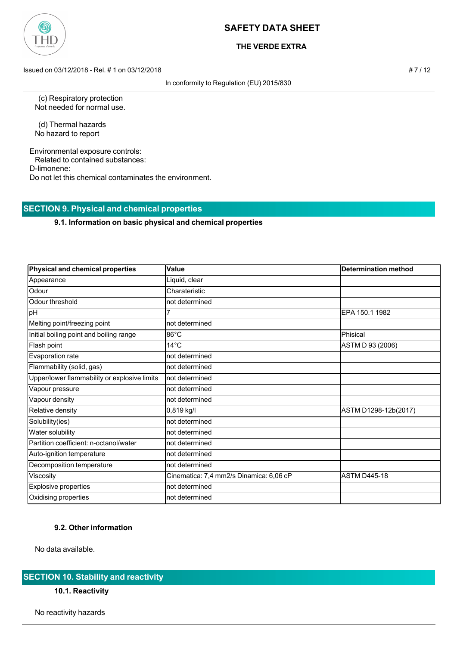

## **THE VERDE EXTRA**

Issued on 03/12/2018 - Rel. # 1 on 03/12/2018 **# 7 / 12** 

In conformity to Regulation (EU) 2015/830

 (c) Respiratory protection Not needed for normal use.

 (d) Thermal hazards No hazard to report

Environmental exposure controls: Related to contained substances: D-limonene: Do not let this chemical contaminates the environment.

# **SECTION 9. Physical and chemical properties**

### **9.1. Information on basic physical and chemical properties**

| Physical and chemical properties             | Value                                   | <b>Determination method</b> |
|----------------------------------------------|-----------------------------------------|-----------------------------|
| Appearance                                   | Liquid, clear                           |                             |
| Odour                                        | Charateristic                           |                             |
| Odour threshold                              | not determined                          |                             |
| pH                                           |                                         | EPA 150.1 1982              |
| Melting point/freezing point                 | not determined                          |                             |
| Initial boiling point and boiling range      | $86^{\circ}$ C                          | Phisical                    |
| Flash point                                  | $14^{\circ}$ C                          | ASTM D 93 (2006)            |
| Evaporation rate                             | not determined                          |                             |
| Flammability (solid, gas)                    | not determined                          |                             |
| Upper/lower flammability or explosive limits | not determined                          |                             |
| Vapour pressure                              | not determined                          |                             |
| Vapour density                               | not determined                          |                             |
| Relative density                             | 0,819 kg/l                              | ASTM D1298-12b(2017)        |
| Solubility(ies)                              | not determined                          |                             |
| Water solubility                             | not determined                          |                             |
| Partition coefficient: n-octanol/water       | not determined                          |                             |
| Auto-ignition temperature                    | not determined                          |                             |
| Decomposition temperature                    | not determined                          |                             |
| Viscosity                                    | Cinematica: 7,4 mm2/s Dinamica: 6,06 cP | <b>ASTM D445-18</b>         |
| <b>Explosive properties</b>                  | not determined                          |                             |
| Oxidising properties                         | not determined                          |                             |

## **9.2. Other information**

No data available.

# **SECTION 10. Stability and reactivity**

### **10.1. Reactivity**

No reactivity hazards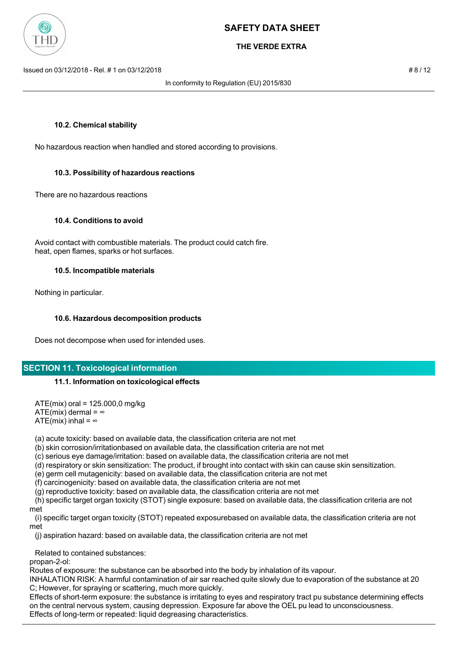

## **THE VERDE EXTRA**

Issued on 03/12/2018 - Rel. # 1 on 03/12/2018 # 8 / 12

In conformity to Regulation (EU) 2015/830

### **10.2. Chemical stability**

No hazardous reaction when handled and stored according to provisions.

### **10.3. Possibility of hazardous reactions**

There are no hazardous reactions

#### **10.4. Conditions to avoid**

 Avoid contact with combustible materials. The product could catch fire. heat, open flames, sparks or hot surfaces.

#### **10.5. Incompatible materials**

Nothing in particular.

### **10.6. Hazardous decomposition products**

Does not decompose when used for intended uses.

### **SECTION 11. Toxicological information**

### **11.1. Information on toxicological effects**

 ATE(mix) oral = 125.000,0 mg/kg ATE(mix) dermal =  $\infty$ ATE(mix) inhal =  $\infty$ 

(a) acute toxicity: based on available data, the classification criteria are not met

(b) skin corrosion/irritationbased on available data, the classification criteria are not met

(c) serious eye damage/irritation: based on available data, the classification criteria are not met

(d) respiratory or skin sensitization: The product, if brought into contact with skin can cause skin sensitization.

(e) germ cell mutagenicity: based on available data, the classification criteria are not met

(f) carcinogenicity: based on available data, the classification criteria are not met

(g) reproductive toxicity: based on available data, the classification criteria are not met

 (h) specific target organ toxicity (STOT) single exposure: based on available data, the classification criteria are not met

 (i) specific target organ toxicity (STOT) repeated exposurebased on available data, the classification criteria are not met

(j) aspiration hazard: based on available data, the classification criteria are not met

Related to contained substances:

propan-2-ol:

Routes of exposure: the substance can be absorbed into the body by inhalation of its vapour.

INHALATION RISK: A harmful contamination of air sar reached quite slowly due to evaporation of the substance at 20 C; However, for spraying or scattering, much more quickly.

Effects of short-term exposure: the substance is irritating to eyes and respiratory tract pu substance determining effects on the central nervous system, causing depression. Exposure far above the OEL pu lead to unconsciousness. Effects of long-term or repeated: liquid degreasing characteristics.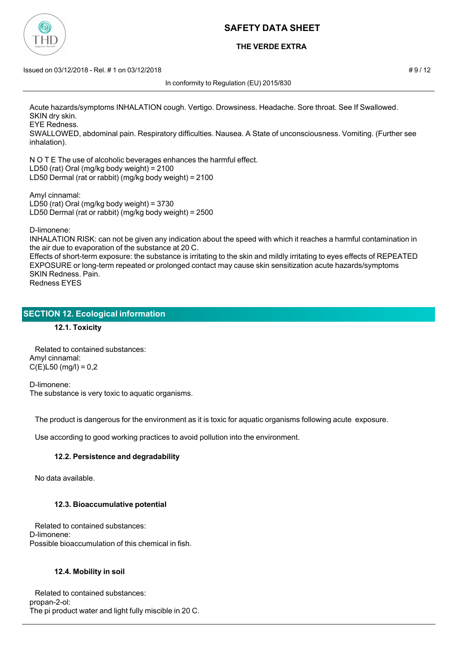

## **THE VERDE EXTRA**

#### $\mu$  Issued on 03/12/2018 - Rel. # 1 on 03/12/2018

In conformity to Regulation (EU) 2015/830

Acute hazards/symptoms INHALATION cough. Vertigo. Drowsiness. Headache. Sore throat. See If Swallowed. SKIN dry skin.

EYE Redness.

SWALLOWED, abdominal pain. Respiratory difficulties. Nausea. A State of unconsciousness. Vomiting. (Further see inhalation).

N O T E The use of alcoholic beverages enhances the harmful effect. LD50 (rat) Oral (mg/kg body weight) = 2100 LD50 Dermal (rat or rabbit) (mg/kg body weight) = 2100

Amyl cinnamal: LD50 (rat) Oral (mg/kg body weight) = 3730 LD50 Dermal (rat or rabbit) (mg/kg body weight) = 2500

D-limonene:

INHALATION RISK: can not be given any indication about the speed with which it reaches a harmful contamination in the air due to evaporation of the substance at 20 C.

Effects of short-term exposure: the substance is irritating to the skin and mildly irritating to eyes effects of REPEATED EXPOSURE or long-term repeated or prolonged contact may cause skin sensitization acute hazards/symptoms SKIN Redness. Pain. Redness EYES

## **SECTION 12. Ecological information**

**12.1. Toxicity**

 Related to contained substances: Amyl cinnamal:  $C(E)$ L50 (mg/l) = 0,2

D-limonene: The substance is very toxic to aquatic organisms.

The product is dangerous for the environment as it is toxic for aquatic organisms following acute exposure.

Use according to good working practices to avoid pollution into the environment.

### **12.2. Persistence and degradability**

No data available.

### **12.3. Bioaccumulative potential**

 Related to contained substances: D-limonene: Possible bioaccumulation of this chemical in fish.

### **12.4. Mobility in soil**

 Related to contained substances: propan-2-ol: The pi product water and light fully miscible in 20 C.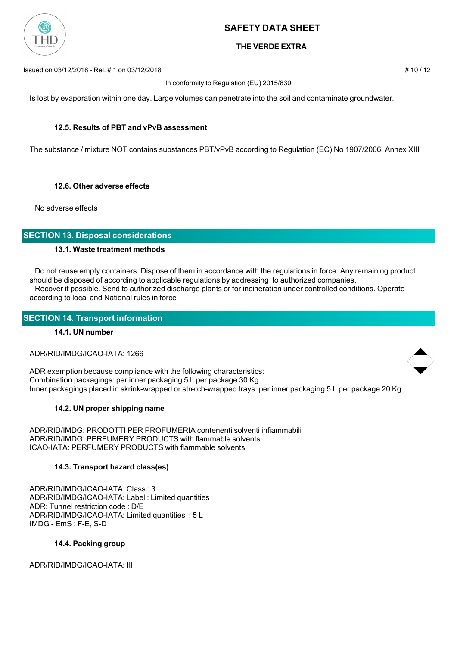

## **THE VERDE EXTRA**

Issued on 03/12/2018 - Rel. # 1 on 03/12/2018 # 10 / 12

In conformity to Regulation (EU) 2015/830

Is lost by evaporation within one day. Large volumes can penetrate into the soil and contaminate groundwater.

### **12.5. Results of PBT and vPvB assessment**

The substance / mixture NOT contains substances PBT/vPvB according to Regulation (EC) No 1907/2006, Annex XIII

### **12.6. Other adverse effects**

No adverse effects

## **SECTION 13. Disposal considerations**

### **13.1. Waste treatment methods**

 Do not reuse empty containers. Dispose of them in accordance with the regulations in force. Any remaining product should be disposed of according to applicable regulations by addressing to authorized companies. Recover if possible. Send to authorized discharge plants or for incineration under controlled conditions. Operate according to local and National rules in force

### **SECTION 14. Transport information**

### **14.1. UN number**

ADR/RID/IMDG/ICAO-IATA: 1266

ADR exemption because compliance with the following characteristics: Combination packagings: per inner packaging 5 L per package 30 Kg Inner packagings placed in skrink-wrapped or stretch-wrapped trays: per inner packaging 5 L per package 20 Kg

### **14.2. UN proper shipping name**

ADR/RID/IMDG: PRODOTTI PER PROFUMERIA contenenti solventi infiammabili ADR/RID/IMDG: PERFUMERY PRODUCTS with flammable solvents ICAO-IATA: PERFUMERY PRODUCTS with flammable solvents

### **14.3. Transport hazard class(es)**

ADR/RID/IMDG/ICAO-IATA: Class : 3 ADR/RID/IMDG/ICAO-IATA: Label : Limited quantities ADR: Tunnel restriction code : D/E ADR/RID/IMDG/ICAO-IATA: Limited quantities : 5 L IMDG - EmS : F-E, S-D

#### **14.4. Packing group**

ADR/RID/IMDG/ICAO-IATA: III



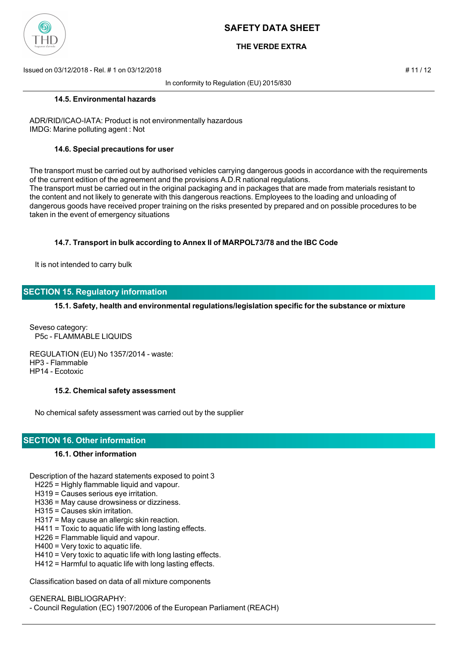

## **THE VERDE EXTRA**

Issued on 03/12/2018 - Rel. # 1 on 03/12/2018 # 11 / 12

In conformity to Regulation (EU) 2015/830

#### **14.5. Environmental hazards**

ADR/RID/ICAO-IATA: Product is not environmentally hazardous IMDG: Marine polluting agent : Not

#### **14.6. Special precautions for user**

The transport must be carried out by authorised vehicles carrying dangerous goods in accordance with the requirements of the current edition of the agreement and the provisions A.D.R national regulations. The transport must be carried out in the original packaging and in packages that are made from materials resistant to the content and not likely to generate with this dangerous reactions. Employees to the loading and unloading of dangerous goods have received proper training on the risks presented by prepared and on possible procedures to be taken in the event of emergency situations

### **14.7. Transport in bulk according to Annex II of MARPOL73/78 and the IBC Code**

It is not intended to carry bulk

## **SECTION 15. Regulatory information**

**15.1. Safety, health and environmental regulations/legislation specific for the substance or mixture**

Seveso category: P5c - FLAMMABLE LIQUIDS

REGULATION (EU) No 1357/2014 - waste: HP3 - Flammable HP14 - Ecotoxic

#### **15.2. Chemical safety assessment**

No chemical safety assessment was carried out by the supplier

### **SECTION 16. Other information**

### **16.1. Other information**

Description of the hazard statements exposed to point 3

- H225 = Highly flammable liquid and vapour.
- H319 = Causes serious eye irritation.
- H336 = May cause drowsiness or dizziness.
- H315 = Causes skin irritation.
- H317 = May cause an allergic skin reaction.
- H411 = Toxic to aquatic life with long lasting effects.
- H226 = Flammable liquid and vapour.
- H400 = Very toxic to aquatic life.
- H410 = Very toxic to aquatic life with long lasting effects.
- H412 = Harmful to aquatic life with long lasting effects.

Classification based on data of all mixture components

GENERAL BIBLIOGRAPHY:

- Council Regulation (EC) 1907/2006 of the European Parliament (REACH)